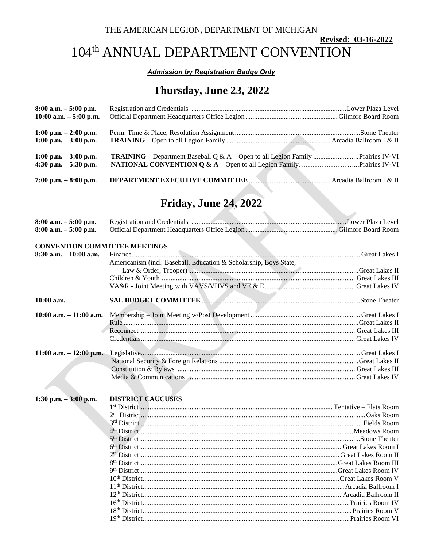#### THE AMERICAN LEGION, DEPARTMENT OF MICHIGAN

### Revised: 03-16-2022

### 104<sup>th</sup> ANNUAL DEPARTMENT CONVENTION

#### **Admission by Registration Badge Only**

### Thursday, June 23, 2022

| $8:00$ a.m. $-5:00$ p.m.<br>$10:00$ a.m. $-5:00$ p.m. |                                                                                         |  |
|-------------------------------------------------------|-----------------------------------------------------------------------------------------|--|
| $1:00$ p.m. $-2:00$ p.m.                              |                                                                                         |  |
| $1:00$ p.m. $-3:00$ p.m.                              |                                                                                         |  |
| $1:00$ p.m. $-3:00$ p.m.<br>4:30 p.m. $-5:30$ p.m.    | <b>TRAINING</b> – Department Baseball Q & A – Open to all Legion Family  Prairies IV-VI |  |
| 7:00 p.m. $-8:00$ p.m.                                |                                                                                         |  |

# **Friday, June 24, 2022**

| $8:00$ a.m. $-5:00$ p.m.             |                                                                   |  |
|--------------------------------------|-------------------------------------------------------------------|--|
| $8:00$ a.m. $-5:00$ p.m.             |                                                                   |  |
| <b>CONVENTION COMMITTEE MEETINGS</b> |                                                                   |  |
| $8:30$ a.m. $-10:00$ a.m.            |                                                                   |  |
|                                      | Americanism (incl: Baseball, Education & Scholarship, Boys State, |  |
|                                      |                                                                   |  |
|                                      |                                                                   |  |
|                                      |                                                                   |  |
|                                      |                                                                   |  |
| $10:00$ a.m.                         |                                                                   |  |
| $10:00$ a.m. $-11:00$ a.m.           |                                                                   |  |
|                                      |                                                                   |  |
|                                      |                                                                   |  |
|                                      |                                                                   |  |
|                                      |                                                                   |  |
| $11:00$ a.m. $-12:00$ p.m.           |                                                                   |  |
|                                      |                                                                   |  |
|                                      |                                                                   |  |
|                                      |                                                                   |  |
|                                      |                                                                   |  |
| 1:30 p.m. $-3:00$ p.m.               | <b>DISTRICT CAUCUSES</b>                                          |  |
|                                      |                                                                   |  |
|                                      |                                                                   |  |
|                                      |                                                                   |  |
|                                      |                                                                   |  |
|                                      |                                                                   |  |
|                                      |                                                                   |  |
|                                      |                                                                   |  |
|                                      |                                                                   |  |
|                                      |                                                                   |  |
|                                      |                                                                   |  |
|                                      |                                                                   |  |
|                                      |                                                                   |  |
|                                      |                                                                   |  |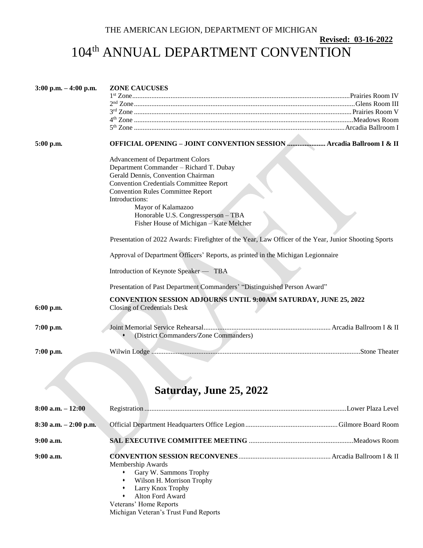### THE AMERICAN LEGION, DEPARTMENT OF MICHIGAN

**Revised: 03-16-2022**

# 104<sup>th</sup> ANNUAL DEPARTMENT CONVENTION

| $3:00$ p.m. $-4:00$ p.m. | <b>ZONE CAUCUSES</b>                                                                                                                                                                                                                                                                                                                             |
|--------------------------|--------------------------------------------------------------------------------------------------------------------------------------------------------------------------------------------------------------------------------------------------------------------------------------------------------------------------------------------------|
| 5:00 p.m.                | OFFICIAL OPENING - JOINT CONVENTION SESSION  Arcadia Ballroom I & II                                                                                                                                                                                                                                                                             |
|                          | <b>Advancement of Department Colors</b><br>Department Commander - Richard T. Dubay<br>Gerald Dennis, Convention Chairman<br><b>Convention Credentials Committee Report</b><br><b>Convention Rules Committee Report</b><br>Introductions:<br>Mayor of Kalamazoo<br>Honorable U.S. Congressperson - TBA<br>Fisher House of Michigan – Kate Melcher |
|                          | Presentation of 2022 Awards: Firefighter of the Year, Law Officer of the Year, Junior Shooting Sports                                                                                                                                                                                                                                            |
|                          | Approval of Department Officers' Reports, as printed in the Michigan Legionnaire                                                                                                                                                                                                                                                                 |
|                          | Introduction of Keynote Speaker — TBA                                                                                                                                                                                                                                                                                                            |
|                          | Presentation of Past Department Commanders' "Distinguished Person Award"                                                                                                                                                                                                                                                                         |
| 6:00 p.m.                | <b>CONVENTION SESSION ADJOURNS UNTIL 9:00AM SATURDAY, JUNE 25, 2022</b><br><b>Closing of Credentials Desk</b>                                                                                                                                                                                                                                    |
| 7:00 p.m.                | (District Commanders/Zone Commanders)                                                                                                                                                                                                                                                                                                            |
| 7:00 p.m.                |                                                                                                                                                                                                                                                                                                                                                  |

# **Saturday, June 25, 2022**

| $8:00$ a.m. $-12:00$     |                                                                                                                                                                                      |  |
|--------------------------|--------------------------------------------------------------------------------------------------------------------------------------------------------------------------------------|--|
| $8:30$ a.m. $-2:00$ p.m. |                                                                                                                                                                                      |  |
| $9:00$ a.m.              |                                                                                                                                                                                      |  |
| $9:00$ a.m.              | Membership Awards<br>Gary W. Sammons Trophy<br>Wilson H. Morrison Trophy<br>Larry Knox Trophy<br>Alton Ford Award<br>Veterans' Home Reports<br>Michigan Veteran's Trust Fund Reports |  |